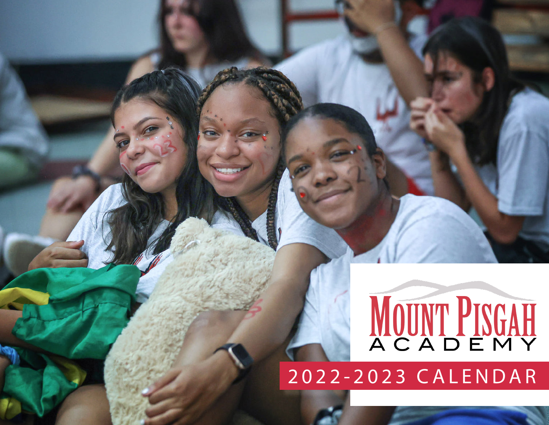# MOUNT PISGAH

2022-2023 CALENDAR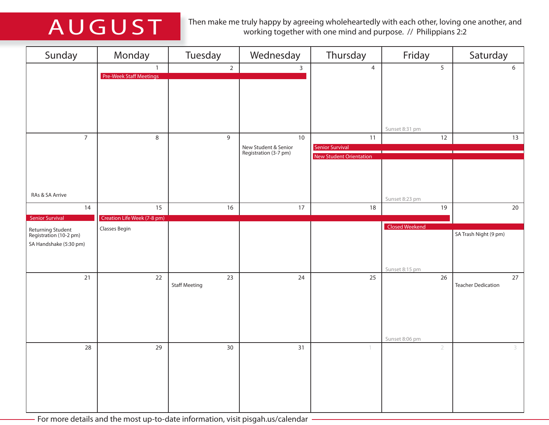AUGUST Then make me truly happy by agreeing wholeheartedly with each other, loving one another, and working together with one mind and purpose. // Philippians 2:2

| Sunday                                      | Monday                      | Tuesday              | Wednesday                                     | Thursday                       | Friday         | Saturday                  |
|---------------------------------------------|-----------------------------|----------------------|-----------------------------------------------|--------------------------------|----------------|---------------------------|
|                                             | $\mathbf{1}$                | $\overline{2}$       | $\mathbf{3}$                                  | $\overline{4}$                 | 5              | 6                         |
|                                             | Pre-Week Staff Meetings     |                      |                                               |                                |                |                           |
|                                             |                             |                      |                                               |                                |                |                           |
|                                             |                             |                      |                                               |                                |                |                           |
|                                             |                             |                      |                                               |                                |                |                           |
|                                             |                             |                      |                                               |                                | Sunset 8:31 pm |                           |
| $\overline{7}$                              | $\,8\,$                     | $\mathsf g$          | 10                                            | 11                             | 12             | 13                        |
|                                             |                             |                      | New Student & Senior<br>Registration (3-7 pm) | <b>Senior Survival</b>         |                |                           |
|                                             |                             |                      |                                               | <b>New Student Orientation</b> |                |                           |
|                                             |                             |                      |                                               |                                |                |                           |
|                                             |                             |                      |                                               |                                |                |                           |
| RAs & SA Arrive                             |                             |                      |                                               |                                | Sunset 8:23 pm |                           |
| 14                                          | 15                          | 16                   | 17                                            | 18                             | 19             | 20                        |
| <b>Senior Survival</b>                      | Creation Life Week (7-8 pm) |                      |                                               |                                |                |                           |
| Returning Student<br>Registration (10-2 pm) | Classes Begin               |                      |                                               |                                | Closed Weekend | SA Trash Night (9 pm)     |
| SA Handshake (5:30 pm)                      |                             |                      |                                               |                                |                |                           |
|                                             |                             |                      |                                               |                                |                |                           |
|                                             |                             |                      |                                               |                                | Sunset 8:15 pm |                           |
| $21$                                        | 22                          | 23                   | 24                                            | 25                             | 26             | 27                        |
|                                             |                             | <b>Staff Meeting</b> |                                               |                                |                | <b>Teacher Dedication</b> |
|                                             |                             |                      |                                               |                                |                |                           |
|                                             |                             |                      |                                               |                                |                |                           |
|                                             |                             |                      |                                               |                                |                |                           |
|                                             |                             |                      |                                               |                                | Sunset 8:06 pm |                           |
| 28                                          | 29                          | 30                   | 31                                            | 1                              | $\overline{2}$ |                           |
|                                             |                             |                      |                                               |                                |                |                           |
|                                             |                             |                      |                                               |                                |                |                           |
|                                             |                             |                      |                                               |                                |                |                           |
|                                             |                             |                      |                                               |                                |                |                           |
|                                             |                             |                      |                                               |                                |                |                           |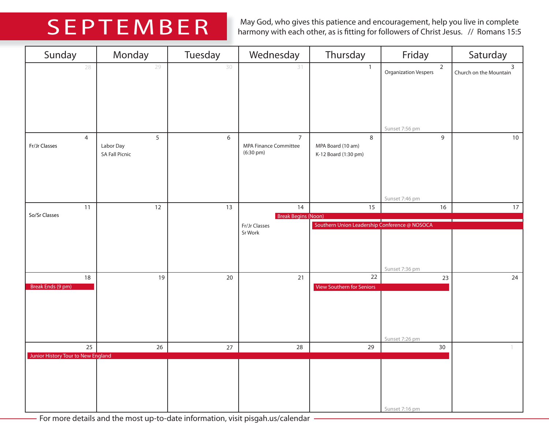SEPTEMBER May God, who gives this patience and encouragement, help you live in complete harmony with each other, as is fitting for followers of Christ Jesus. // Romans 15:5

| Sunday                             | Monday                                  | Tuesday | Wednesday                                                             | Thursday                                       | Friday                                        | Saturday                                 |
|------------------------------------|-----------------------------------------|---------|-----------------------------------------------------------------------|------------------------------------------------|-----------------------------------------------|------------------------------------------|
| 28                                 | 29                                      | 30      | 31                                                                    | $\mathbf{1}$                                   | $\overline{2}$<br><b>Organization Vespers</b> | $\overline{3}$<br>Church on the Mountain |
|                                    |                                         |         |                                                                       |                                                | Sunset 7:56 pm                                |                                          |
| $\overline{4}$<br>Fr/Jr Classes    | 5<br>Labor Day<br><b>SA Fall Picnic</b> | 6       | $\overline{7}$<br><b>MPA Finance Committee</b><br>$(6:30 \text{ pm})$ | 8<br>MPA Board (10 am)<br>K-12 Board (1:30 pm) | 9                                             | 10                                       |
|                                    |                                         |         |                                                                       |                                                | Sunset 7:46 pm                                |                                          |
| 11<br>So/Sr Classes                | 12                                      | 13      | 14<br><b>Break Begins (Noon)</b>                                      | 15                                             | 16                                            | 17                                       |
|                                    |                                         |         | Fr/Jr Classes<br>Sr Work                                              | Southern Union Leadership Conference @ NOSOCA  | Sunset 7:36 pm                                |                                          |
| 18<br>Break Ends (9 pm)            | 19                                      | $20\,$  | 21                                                                    | 22<br>View Southern for Seniors                | $23\,$<br>Sunset 7:26 pm                      | 24                                       |
| 25                                 | $26\,$                                  | 27      | 28                                                                    | 29                                             | 30                                            |                                          |
| Junior History Tour to New England |                                         |         |                                                                       |                                                | Sunset 7:16 pm                                |                                          |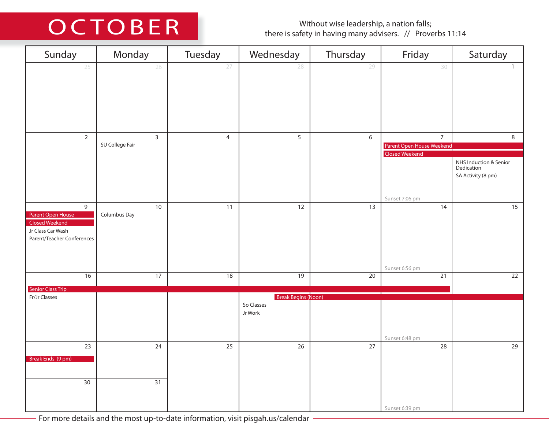### Without wise leadership, a nation falls;<br>there is safety in having many advisers. // Proverbs 11:14

| Sunday                                                                                             | Monday                          | Tuesday         | Wednesday                                           | Thursday        | Friday                                                        | Saturday                                                   |
|----------------------------------------------------------------------------------------------------|---------------------------------|-----------------|-----------------------------------------------------|-----------------|---------------------------------------------------------------|------------------------------------------------------------|
| 25                                                                                                 | 26                              | 27              | 28                                                  | 29              | 30                                                            | $\mathbf{1}$                                               |
| $\overline{2}$                                                                                     | $\mathbf{3}$<br>SU College Fair | $\overline{4}$  | 5                                                   | 6               | $\overline{7}$<br>Parent Open House Weekend<br>Closed Weekend | 8                                                          |
|                                                                                                    |                                 |                 |                                                     |                 |                                                               | NHS Induction & Senior<br>Dedication<br>SA Activity (8 pm) |
| 9<br>Parent Open House<br><b>Closed Weekend</b><br>Jr Class Car Wash<br>Parent/Teacher Conferences | $10\,$<br>Columbus Day          | 11              | 12                                                  | 13              | Sunset 7:06 pm<br>14                                          | 15                                                         |
| $\overline{16}$                                                                                    | $\overline{17}$                 | $\overline{18}$ | $\overline{19}$                                     | $\overline{20}$ | Sunset 6:56 pm<br>$\overline{21}$                             | $\overline{22}$                                            |
| <b>Senior Class Trip</b>                                                                           |                                 |                 |                                                     |                 |                                                               |                                                            |
| Fr/Jr Classes                                                                                      |                                 |                 | <b>Break Begins (Noon)</b><br>So Classes<br>Jr Work |                 | Sunset 6:48 pm                                                |                                                            |
| $23\,$<br>Break Ends (9 pm)                                                                        | 24                              | 25              | 26                                                  | $27$            | 28                                                            | 29                                                         |
| 30                                                                                                 | 31                              |                 |                                                     |                 | Sunset 6:39 pm                                                |                                                            |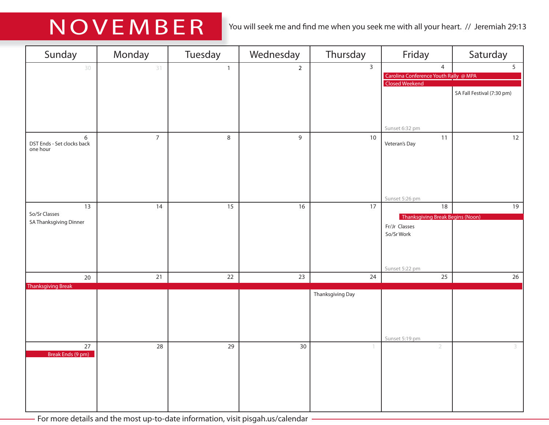### NOVEMBER You will seek me and find me when you seek me with all your heart. // Jeremiah 29:13

| Sunday                                      | Monday          | Tuesday         | Wednesday      | Thursday         | Friday                                                                    | Saturday                   |
|---------------------------------------------|-----------------|-----------------|----------------|------------------|---------------------------------------------------------------------------|----------------------------|
| 30                                          | 31              | $\mathbf{1}$    | $\overline{2}$ | $\overline{3}$   | $\overline{4}$<br>Carolina Conference Youth Rally @ MPA<br>Closed Weekend | 5 <sup>7</sup>             |
|                                             |                 |                 |                |                  |                                                                           | SA Fall Festival (7:30 pm) |
|                                             |                 |                 |                |                  | Sunset 6:32 pm                                                            |                            |
| 6<br>DST Ends - Set clocks back<br>one hour | $\overline{7}$  | $\,8\,$         | $\overline{9}$ | $10\,$           | 11<br>Veteran's Day                                                       | 12                         |
|                                             |                 |                 |                |                  |                                                                           |                            |
|                                             |                 |                 |                |                  |                                                                           |                            |
| 13                                          | $\overline{14}$ | $\overline{15}$ | 16             | 17               | Sunset 5:26 pm<br>18                                                      | 19                         |
| So/Sr Classes<br>SA Thanksgiving Dinner     |                 |                 |                |                  | Thanksgiving Break Begins (Noon)                                          |                            |
|                                             |                 |                 |                |                  | Fr/Jr Classes<br>So/Sr Work                                               |                            |
|                                             |                 |                 |                |                  |                                                                           |                            |
|                                             |                 |                 |                |                  |                                                                           |                            |
| 20                                          | 21              | 22              | 23             | 24               | Sunset 5:22 pm<br>25                                                      | 26                         |
| <b>Thanksgiving Break</b>                   |                 |                 |                |                  |                                                                           |                            |
|                                             |                 |                 |                | Thanksgiving Day |                                                                           |                            |
|                                             |                 |                 |                |                  |                                                                           |                            |
|                                             |                 |                 |                |                  |                                                                           |                            |
|                                             |                 |                 |                |                  | Sunset 5:19 pm                                                            |                            |
| 27<br>Break Ends (9 pm)                     | 28              | 29              | 30             |                  | $\overline{2}$                                                            | 3                          |
|                                             |                 |                 |                |                  |                                                                           |                            |
|                                             |                 |                 |                |                  |                                                                           |                            |
|                                             |                 |                 |                |                  |                                                                           |                            |
|                                             |                 |                 |                |                  |                                                                           |                            |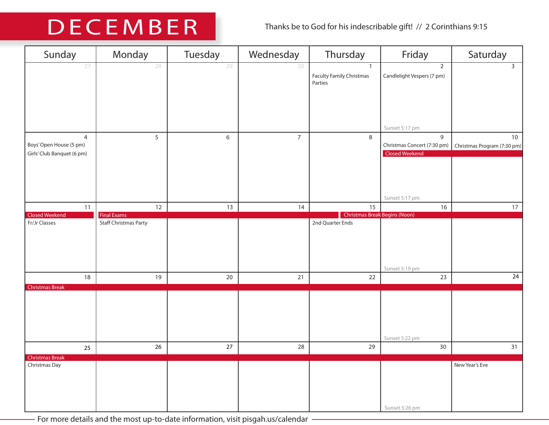## DECEMBER Thanks be to God for his indescribable gift! // 2 Corinthians 9:15

| Sunday                                                     | Monday                                  | Tuesday          | Wednesday      | Thursday                                                   | Friday                                             | Saturday                          |
|------------------------------------------------------------|-----------------------------------------|------------------|----------------|------------------------------------------------------------|----------------------------------------------------|-----------------------------------|
| 27                                                         | 28                                      | 29               | 30             | $\mathbf{1}$<br><b>Faculty Family Christmas</b><br>Parties | $\overline{2}$<br>Candlelight Vespers (7 pm)       | $\overline{3}$                    |
|                                                            |                                         |                  |                |                                                            | Sunset 5:17 pm                                     |                                   |
| 4<br>Boys' Open House (5 pm)<br>Girls' Club Banquet (6 pm) | 5                                       | $\boldsymbol{6}$ | $\overline{7}$ | $\bf 8$                                                    | 9<br>Christmas Concert (7:30 pm)<br>Closed Weekend | 10<br>Christmas Program (7:30 pm) |
|                                                            |                                         |                  |                |                                                            |                                                    |                                   |
|                                                            |                                         |                  |                |                                                            | Sunset 5:17 pm                                     |                                   |
| 11<br><b>Closed Weekend</b>                                | $12 \overline{ }$<br><b>Final Exams</b> | 13               | 14             | 15<br><b>Christmas Break Begins (Noon)</b>                 | 16                                                 | 17                                |
| Fr/Jr Classes                                              | <b>Staff Christmas Party</b>            |                  |                | 2nd Quarter Ends                                           | Sunset 5:19 pm                                     |                                   |
| $18\,$                                                     | 19                                      | 20               | $21$           | 22                                                         | 23                                                 | 24                                |
| <b>Christmas Break</b>                                     |                                         |                  |                |                                                            | Sunset 5:22 pm                                     |                                   |
| 25                                                         | 26                                      | 27               | 28             | 29                                                         | 30                                                 | 31                                |
| <b>Christmas Break</b><br>Christmas Day                    |                                         |                  |                |                                                            | Sunset 5:26 pm                                     | New Year's Eve                    |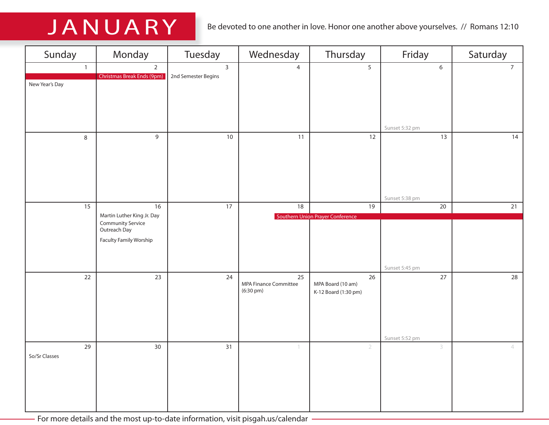JANUARY Be devoted to one another in love. Honor one another above yourselves. // Romans 12:10

| Sunday         | Monday                                   | Tuesday             | Wednesday                   | Thursday                         | Friday                   | Saturday       |
|----------------|------------------------------------------|---------------------|-----------------------------|----------------------------------|--------------------------|----------------|
| $\overline{1}$ | $\overline{2}$                           | $\overline{3}$      | $\overline{4}$              | $5\overline{)}$                  | $\boldsymbol{6}$         | $\overline{7}$ |
| New Year's Day | <b>Christmas Break Ends (9pm)</b>        | 2nd Semester Begins |                             |                                  |                          |                |
|                |                                          |                     |                             |                                  |                          |                |
|                |                                          |                     |                             |                                  |                          |                |
|                |                                          |                     |                             |                                  | Sunset 5:32 pm           |                |
| 8              | 9                                        | $10\,$              | 11                          | 12                               | 13                       | 14             |
|                |                                          |                     |                             |                                  |                          |                |
|                |                                          |                     |                             |                                  |                          |                |
|                |                                          |                     |                             |                                  |                          |                |
|                |                                          |                     |                             |                                  |                          |                |
| 15             | 16                                       | $\overline{17}$     | 18                          | 19                               | Sunset 5:38 pm<br>$20\,$ | 21             |
|                | Martin Luther King Jr. Day               |                     |                             | Southern Union Prayer Conference |                          |                |
|                | <b>Community Service</b><br>Outreach Day |                     |                             |                                  |                          |                |
|                | Faculty Family Worship                   |                     |                             |                                  |                          |                |
|                |                                          |                     |                             |                                  |                          |                |
|                |                                          |                     |                             |                                  | Sunset 5:45 pm           |                |
| $22\,$         | 23                                       | 24                  | 25<br>MPA Finance Committee | $26\,$<br>MPA Board (10 am)      | 27                       | 28             |
|                |                                          |                     | $(6:30 \text{ pm})$         | K-12 Board (1:30 pm)             |                          |                |
|                |                                          |                     |                             |                                  |                          |                |
|                |                                          |                     |                             |                                  |                          |                |
|                |                                          |                     |                             |                                  | Sunset 5:52 pm           |                |
| 29             | 30 <sup>°</sup>                          | 31                  |                             | $\overline{2}$                   | 3                        | $\overline{4}$ |
| So/Sr Classes  |                                          |                     |                             |                                  |                          |                |
|                |                                          |                     |                             |                                  |                          |                |
|                |                                          |                     |                             |                                  |                          |                |
|                |                                          |                     |                             |                                  |                          |                |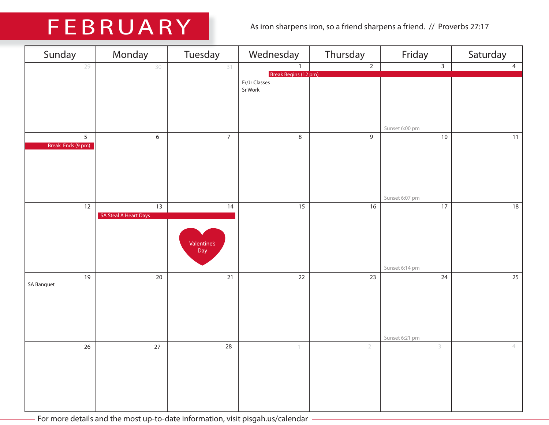## FEBRUARY As iron sharpens iron, so a friend sharpens a friend. // Proverbs 27:17

| Sunday                              | Monday                                   | Tuesday                               | Wednesday                                        | Thursday        | Friday                            | Saturday       |
|-------------------------------------|------------------------------------------|---------------------------------------|--------------------------------------------------|-----------------|-----------------------------------|----------------|
| 29                                  | 30                                       | 31                                    | $\mathbf{1}$                                     | $\overline{2}$  | $\overline{3}$                    | $\overline{4}$ |
|                                     |                                          |                                       | Break Begins (12 pm)<br>Fr/Jr Classes<br>Sr Work |                 | Sunset 6:00 pm                    |                |
| $\overline{5}$<br>Break Ends (9 pm) | $\overline{6}$                           | $\overline{7}$                        | $\,8\,$                                          | $\overline{9}$  | 10<br>Sunset 6:07 pm              | 11             |
| $\overline{12}$                     | $\overline{13}$<br>SA Steal A Heart Days | $\overline{14}$<br>Valentine's<br>Day | $\overline{15}$                                  | $\overline{16}$ | $\overline{17}$<br>Sunset 6:14 pm | 18             |
| 19<br><b>SA Banquet</b>             | $20\,$                                   | $21$                                  | $22$                                             | 23              | 24<br>Sunset 6:21 pm              | 25             |
| 26                                  | 27                                       | $28$                                  | $\left\lceil \right\rceil$                       | $\overline{2}$  | 3                                 | $\overline{4}$ |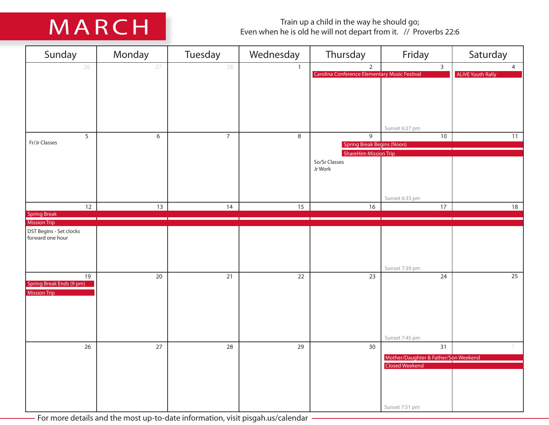Train up a child in the way he should go;<br>Even when he is old he will not depart from it. // Proverbs 22:6

| Sunday                                         | Monday | Tuesday        | Wednesday      | Thursday                                                          | Friday                                                        | Saturday                                   |
|------------------------------------------------|--------|----------------|----------------|-------------------------------------------------------------------|---------------------------------------------------------------|--------------------------------------------|
| 26                                             | 27     | 28             | $\mathbf{1}$   | $\overline{2}$<br>Carolina Conference Elementary Music Festival   | $\overline{3}$                                                | $\overline{4}$<br><b>ALIVE Youth Rally</b> |
|                                                |        |                |                |                                                                   |                                                               |                                            |
|                                                |        |                |                |                                                                   |                                                               |                                            |
|                                                |        |                |                |                                                                   |                                                               |                                            |
|                                                |        |                |                |                                                                   |                                                               |                                            |
| 5                                              | $6\,$  | $\overline{7}$ | $\overline{8}$ | 9                                                                 | Sunset 6:27 pm<br>10                                          | 11                                         |
| Fr/Jr Classes                                  |        |                |                | <b>Spring Break Begins (Noon)</b><br><b>ShareHim Mission Trip</b> |                                                               |                                            |
|                                                |        |                |                | So/Sr Classes                                                     |                                                               |                                            |
|                                                |        |                |                | Jr Work                                                           |                                                               |                                            |
|                                                |        |                |                |                                                                   |                                                               |                                            |
| 12                                             | 13     | 14             | 15             | 16                                                                | Sunset 6:33 pm<br>$17$                                        | 18                                         |
| <b>Spring Break</b>                            |        |                |                |                                                                   |                                                               |                                            |
| <b>Mission Trip</b><br>DST Begins - Set clocks |        |                |                |                                                                   |                                                               |                                            |
| forward one hour                               |        |                |                |                                                                   |                                                               |                                            |
|                                                |        |                |                |                                                                   |                                                               |                                            |
|                                                |        |                |                |                                                                   | Sunset 7:39 pm                                                |                                            |
| $19$<br>Spring Break Ends (9 pm)               | $20\,$ | $21$           | 22             | 23                                                                | 24                                                            | 25                                         |
| <b>Mission Trip</b>                            |        |                |                |                                                                   |                                                               |                                            |
|                                                |        |                |                |                                                                   |                                                               |                                            |
|                                                |        |                |                |                                                                   |                                                               |                                            |
|                                                |        |                |                |                                                                   | Sunset 7:45 pm                                                |                                            |
| 26                                             | $27\,$ | 28             | 29             | $30\,$                                                            | 31                                                            |                                            |
|                                                |        |                |                |                                                                   | Mother/Daughter & Father/Son Weekend<br><b>Closed Weekend</b> |                                            |
|                                                |        |                |                |                                                                   |                                                               |                                            |
|                                                |        |                |                |                                                                   |                                                               |                                            |
|                                                |        |                |                |                                                                   |                                                               |                                            |
|                                                |        |                |                |                                                                   | Sunset 7:51 pm                                                |                                            |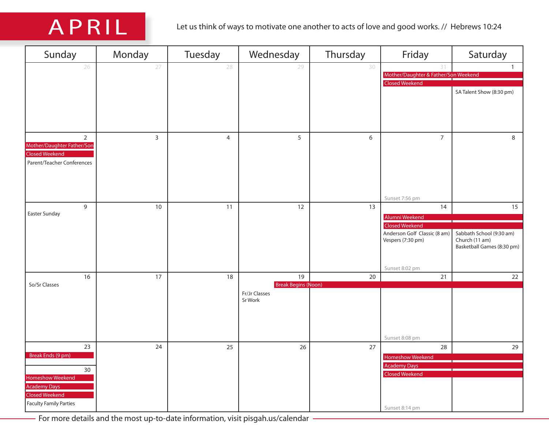| Sunday                     | Monday       | Tuesday        | Wednesday                  | Thursday | Friday                               | Saturday                                     |
|----------------------------|--------------|----------------|----------------------------|----------|--------------------------------------|----------------------------------------------|
| 26                         | 27           | 28             | 29                         | 30       | 31                                   | $\mathbf{1}$                                 |
|                            |              |                |                            |          | Mother/Daughter & Father/Son Weekend |                                              |
|                            |              |                |                            |          | <b>Closed Weekend</b>                |                                              |
|                            |              |                |                            |          |                                      | SA Talent Show (8:30 pm)                     |
|                            |              |                |                            |          |                                      |                                              |
|                            |              |                |                            |          |                                      |                                              |
|                            |              |                |                            |          |                                      |                                              |
|                            |              |                |                            |          |                                      |                                              |
| $\overline{2}$             | $\mathbf{3}$ | $\overline{4}$ | 5                          | 6        | $\overline{7}$                       | 8                                            |
| Mother/Daughter Father/Son |              |                |                            |          |                                      |                                              |
| <b>Closed Weekend</b>      |              |                |                            |          |                                      |                                              |
| Parent/Teacher Conferences |              |                |                            |          |                                      |                                              |
|                            |              |                |                            |          |                                      |                                              |
|                            |              |                |                            |          |                                      |                                              |
|                            |              |                |                            |          |                                      |                                              |
|                            |              |                |                            |          | Sunset 7:56 pm                       |                                              |
| $\overline{9}$             | 10           | 11             | 12                         | 13       | 14                                   | 15                                           |
| Easter Sunday              |              |                |                            |          | Alumni Weekend                       |                                              |
|                            |              |                |                            |          | <b>Closed Weekend</b>                |                                              |
|                            |              |                |                            |          | Anderson Golf Classic (8 am)         | Sabbath School (9:30 am)                     |
|                            |              |                |                            |          | Vespers (7:30 pm)                    | Church (11 am)<br>Basketball Games (8:30 pm) |
|                            |              |                |                            |          |                                      |                                              |
|                            |              |                |                            |          |                                      |                                              |
|                            |              |                |                            |          | Sunset 8:02 pm                       |                                              |
| 16                         | 17           | 18             | $19$                       | $20\,$   | 21                                   | 22                                           |
| So/Sr Classes              |              |                | <b>Break Begins (Noon)</b> |          |                                      |                                              |
|                            |              |                | Fr/Jr Classes<br>Sr Work   |          |                                      |                                              |
|                            |              |                |                            |          |                                      |                                              |
|                            |              |                |                            |          |                                      |                                              |
|                            |              |                |                            |          |                                      |                                              |
|                            |              |                |                            |          |                                      |                                              |
|                            |              |                |                            |          | Sunset 8:08 pm                       |                                              |
| 23                         | 24           | 25             | 26                         | $27$     | 28                                   | 29                                           |
| Break Ends (9 pm)          |              |                |                            |          | <b>Homeshow Weekend</b>              |                                              |
| 30                         |              |                |                            |          | <b>Academy Days</b>                  |                                              |
| <b>Homeshow Weekend</b>    |              |                |                            |          | <b>Closed Weekend</b>                |                                              |
| <b>Academy Days</b>        |              |                |                            |          |                                      |                                              |
| <b>Closed Weekend</b>      |              |                |                            |          |                                      |                                              |
| Faculty Family Parties     |              |                |                            |          |                                      |                                              |
|                            |              |                |                            |          | Sunset 8:14 pm                       |                                              |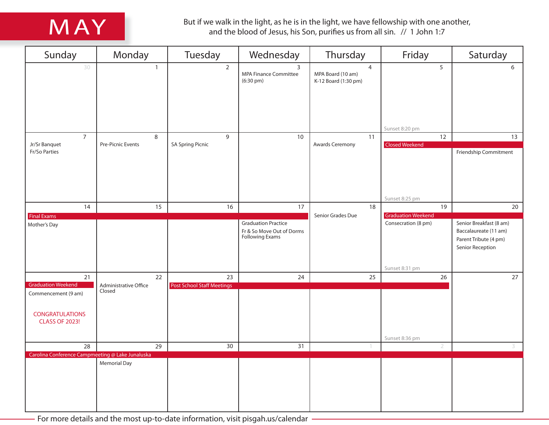

But if we walk in the light, as he is in the light, we have fellowship with one another,<br>and the blood of Jesus, his Son, purifies us from all sin. // 1 John 1:7

| Sunday                                                                                              | Monday                          | Tuesday                           | Wednesday                                                                         | Thursday                                                    | Friday                                  | Saturday                                                                                      |
|-----------------------------------------------------------------------------------------------------|---------------------------------|-----------------------------------|-----------------------------------------------------------------------------------|-------------------------------------------------------------|-----------------------------------------|-----------------------------------------------------------------------------------------------|
| 30                                                                                                  | $\mathbf{1}$                    | $\overline{2}$                    | $\overline{3}$<br>MPA Finance Committee<br>$(6:30 \text{ pm})$                    | $\overline{4}$<br>MPA Board (10 am)<br>K-12 Board (1:30 pm) | 5                                       | 6                                                                                             |
|                                                                                                     |                                 |                                   |                                                                                   |                                                             | Sunset 8:20 pm                          |                                                                                               |
| $\overline{7}$                                                                                      | $\,8\,$                         | $\overline{9}$                    | 10                                                                                | 11                                                          | 12                                      | 13                                                                                            |
| Jr/Sr Banquet<br>Fr/So Parties                                                                      | Pre-Picnic Events               | <b>SA Spring Picnic</b>           |                                                                                   | Awards Ceremony                                             | <b>Closed Weekend</b><br>Sunset 8:25 pm | Friendship Commitment                                                                         |
| 14                                                                                                  | 15                              | 16                                | 17                                                                                | 18                                                          | 19                                      | 20                                                                                            |
| <b>Final Exams</b>                                                                                  |                                 |                                   |                                                                                   | Senior Grades Due                                           | <b>Graduation Weekend</b>               |                                                                                               |
| Mother's Day                                                                                        |                                 |                                   | <b>Graduation Practice</b><br>Fr & So Move Out of Dorms<br><b>Following Exams</b> |                                                             | Consecration (8 pm)<br>Sunset 8:31 pm   | Senior Breakfast (8 am)<br>Baccalaureate (11 am)<br>Parent Tribute (4 pm)<br>Senior Reception |
| 21                                                                                                  | 22                              | 23                                | 24                                                                                | 25                                                          | 26                                      | 27                                                                                            |
| <b>Graduation Weekend</b><br>Commencement (9 am)<br><b>CONGRATULATIONS</b><br><b>CLASS OF 2023!</b> | Administrative Office<br>Closed | <b>Post School Staff Meetings</b> |                                                                                   |                                                             | Sunset 8:36 pm                          |                                                                                               |
| 28                                                                                                  | 29                              | 30                                | $\overline{31}$                                                                   | $\mathbf{1}$                                                | $\overline{2}$                          | 3                                                                                             |
| Carolina Conference Campmeeting @ Lake Junaluska                                                    | <b>Memorial Day</b>             |                                   |                                                                                   |                                                             |                                         |                                                                                               |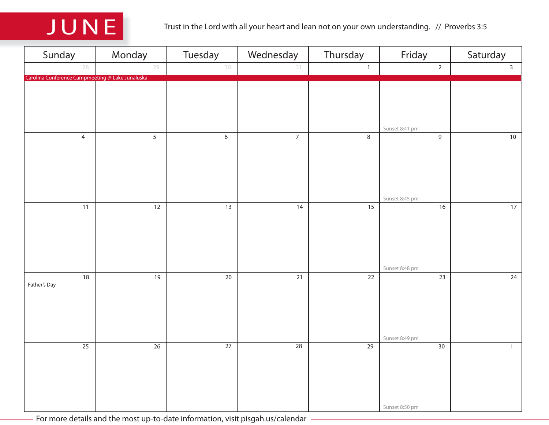

| Sunday                                           | Monday          | Tuesday         | Wednesday       | Thursday        | Friday                            | Saturday                   |
|--------------------------------------------------|-----------------|-----------------|-----------------|-----------------|-----------------------------------|----------------------------|
| 28                                               | 29              | 30              | 31              | $\mathbf{1}$    | $\sqrt{2}$                        | $\overline{3}$             |
| Carolina Conference Campmeeting @ Lake Junaluska |                 |                 |                 |                 | Sunset 8:41 pm                    |                            |
| $\overline{4}$                                   | $\overline{5}$  | $\overline{6}$  | $\overline{7}$  | $\overline{8}$  | 9<br>Sunset 8:45 pm               | 10                         |
| 11                                               | 12              | 13              | 14              | 15              | 16<br>Sunset 8:48 pm              | 17                         |
| $18\,$<br>Father's Day                           | 19              | $20\,$          | $\overline{21}$ | $\overline{22}$ | $\overline{23}$<br>Sunset 8:49 pm | 24                         |
| $\overline{25}$                                  | $\overline{26}$ | $\overline{27}$ | $\overline{28}$ | $\overline{29}$ | $30\,$<br>Sunset 8:50 pm          | $\left\lceil \right\rceil$ |